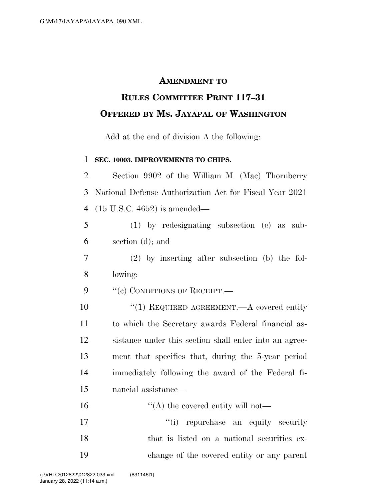## **AMENDMENT TO**

## **RULES COMMITTEE PRINT 117–31 OFFERED BY MS. JAYAPAL OF WASHINGTON**

Add at the end of division A the following:

## **SEC. 10003. IMPROVEMENTS TO CHIPS.**

| $\overline{2}$ | Section 9902 of the William M. (Mac) Thornberry         |
|----------------|---------------------------------------------------------|
| 3              | National Defense Authorization Act for Fiscal Year 2021 |
| $\overline{4}$ | $(15 \text{ U.S.C. } 4652)$ is amended—                 |
| 5              | $(1)$ by redesignating subsection $(e)$ as sub-         |
| 6              | section $(d)$ ; and                                     |
| 7              | $(2)$ by inserting after subsection (b) the fol-        |
| 8              | lowing:                                                 |
| 9              | "(c) CONDITIONS OF RECEIPT.—                            |
| 10             | "(1) REQUIRED AGREEMENT.—A covered entity               |
| 11             | to which the Secretary awards Federal financial as-     |
| 12             | sistance under this section shall enter into an agree-  |
| 13             | ment that specifies that, during the 5-year period      |
| 14             | immediately following the award of the Federal fi-      |
| 15             | nancial assistance—                                     |
| 16             | $\lq\lq$ the covered entity will not—                   |
| 17             | "(i) repurchase an equity security                      |
| 18             | that is listed on a national securities ex-             |
| 19             | change of the covered entity or any parent              |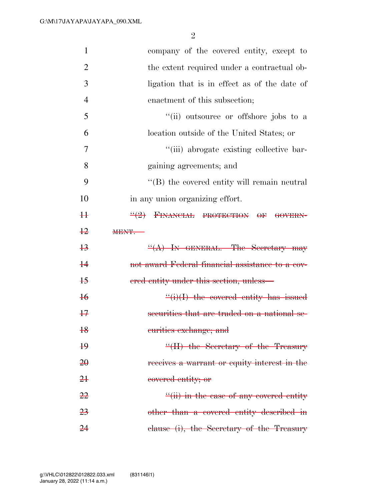2

| $\mathbf{1}$    | company of the covered entity, except to             |
|-----------------|------------------------------------------------------|
| $\overline{2}$  | the extent required under a contractual ob-          |
| 3               | ligation that is in effect as of the date of         |
| $\overline{4}$  | enactment of this subsection;                        |
| 5               | "(ii) outsource or offshore jobs to a                |
| 6               | location outside of the United States; or            |
| 7               | "(iii) abrogate existing collective bar-             |
| 8               | gaining agreements; and                              |
| 9               | $\lq\lq$ the covered entity will remain neutral      |
| 10              | in any union organizing effort.                      |
| H               | $\frac{11}{2}$ FINANCIAL PROTECTION OF GOVERN-       |
| $+2$            | <b>MENT.</b>                                         |
|                 |                                                      |
| $+3$            | $\frac{H(A)}{N}$ IN GENERAL.—The Secretary may       |
| $\ddagger$      | not award Federal financial assistance to a cov-     |
| $+5$            | ered entity under this section, unless—              |
| $\overline{16}$ | $\frac{f'(i)}{I}$ the covered entity has issued      |
| $+7$            | securities that are traded on a national se-         |
| 18              | eurities exchange; and                               |
| $\overline{19}$ | $\frac{H}{H}$ the Secretary of the Treasury          |
| 20              | receives a warrant or equity interest in the         |
| 2 <sup>1</sup>  | covered entity; or                                   |
| <del>22</del>   | $\frac{f'(ii)}{i}$ in the case of any covered entity |
| 23              | other than a covered entity described in             |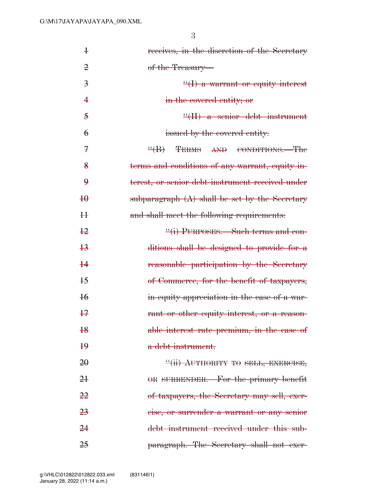| $\ddagger$              | receives, in the discretion of the Secretary     |
|-------------------------|--------------------------------------------------|
| $\overline{2}$          | of the Treasury—                                 |
| $\overline{\mathbf{3}}$ | $\frac{H}{I}$ a warrant or equity interest       |
| 4                       | in the covered entity; or                        |
| $\overline{5}$          | $\frac{4}{11}$ a senior debt instrument          |
| $\epsilon$              | issued by the covered entity.                    |
| $\mathcal{F}$           | $\frac{H}{B}$ TERMS<br>AND CONDITIONS.—The       |
| $\frac{8}{5}$           | terms and conditions of any warrant, equity in-  |
| $\boldsymbol{9}$        | terest, or senior debt instrument received under |
| $\overline{40}$         | subparagraph $(A)$ shall be set by the Secretary |
| #                       | and shall meet the following requirements:       |
| $+2$                    | "(i) PURPOSES. Such terms and con-               |
| $\overline{13}$         | ditions shall be designed to provide for a       |
| $rac{1}{4}$             | reasonable participation by the Secretary        |
| $+5$                    | of Commerce, for the benefit of taxpayers,       |
| $\overline{16}$         | in equity appreciation in the case of a war-     |
| $+7$                    | rant or other equity interest, or a reason-      |
| $rac{18}{16}$           | able interest rate premium, in the case of       |
| $\overline{19}$         | a debt instrument.                               |
| 20                      | "(ii) AUTHORITY TO SELL, EXERCISE,               |
| 2 <sup>1</sup>          | OR SURRENDER. For the primary benefit            |
| <del>22</del>           | of taxpayers, the Secretary may sell, exer-      |
| 23                      | eise, or surrender a warrant or any senior       |
| 24                      | debt instrument received under this sub-         |
| 25                      | paragraph. The Secretary shall not exer-         |